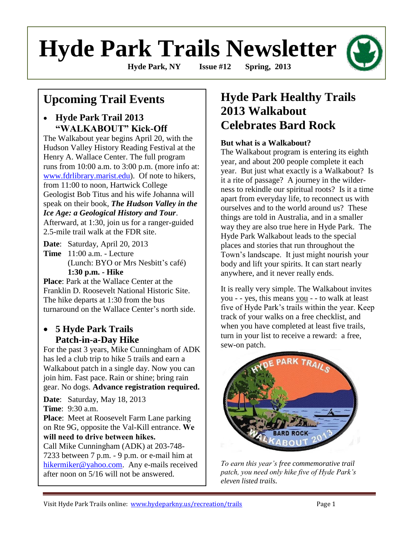# **Hyde Park Trails Newsletter**

**Hyde Park, NY Issue #12 Spring, 2013**

# **Upcoming Trail Events**

## **Hyde Park Trail 2013 "WALKABOUT" Kick-Off**

The Walkabout year begins April 20, with the Hudson Valley History Reading Festival at the Henry A. Wallace Center. The full program runs from 10:00 a.m. to 3:00 p.m. (more info at: [www.fdrlibrary.marist.edu\)](http://www.fdrlibrary.marist.edu/). Of note to hikers, from 11:00 to noon, Hartwick College Geologist Bob Titus and his wife Johanna will speak on their book, *The Hudson Valley in the Ice Age: a Geological History and Tour*. Afterward, at 1:30, join us for a ranger-guided 2.5-mile trail walk at the FDR site.

**Date**: Saturday, April 20, 2013 **Time** 11:00 a.m. - Lecture (Lunch: BYO or Mrs Nesbitt's café) **1:30 p.m. - Hike**

**Place**: Park at the Wallace Center at the Franklin D. Roosevelt National Historic Site. The hike departs at 1:30 from the bus turnaround on the Wallace Center's north side.

## **5 Hyde Park Trails Patch-in-a-Day Hike**

For the past 3 years, Mike Cunningham of ADK has led a club trip to hike 5 trails and earn a Walkabout patch in a single day. Now you can join him. Fast pace. Rain or shine; bring rain gear. No dogs. **Advance registration required.**

**Date**: Saturday, May 18, 2013 **Time**: 9:30 a.m.

**Place**: Meet at Roosevelt Farm Lane parking on Rte 9G, opposite the Val-Kill entrance. **We will need to drive between hikes.** 

Call Mike Cunningham (ADK) at 203-748- 7233 between 7 p.m. - 9 p.m. or e-mail him at [hikermiker@yahoo.com.](mailto:hikermiker@yahoo.com) Any e-mails received after noon on 5/16 will not be answered.

# **Hyde Park Healthy Trails 2013 Walkabout Celebrates Bard Rock**

### **But what is a Walkabout?**

The Walkabout program is entering its eighth year, and about 200 people complete it each year. But just what exactly is a Walkabout? Is it a rite of passage? A journey in the wilderness to rekindle our spiritual roots? Is it a time apart from everyday life, to reconnect us with ourselves and to the world around us? These things are told in Australia, and in a smaller way they are also true here in Hyde Park. The Hyde Park Walkabout leads to the special places and stories that run throughout the Town's landscape. It just might nourish your body and lift your spirits. It can start nearly anywhere, and it never really ends.

It is really very simple. The Walkabout invites you - - yes, this means you - - to walk at least five of Hyde Park's trails within the year. Keep track of your walks on a free checklist, and when you have completed at least five trails, turn in your list to receive a reward: a free, sew-on patch.



*To earn this year's free commemorative trail patch, you need only hike five of Hyde Park's eleven listed trails.*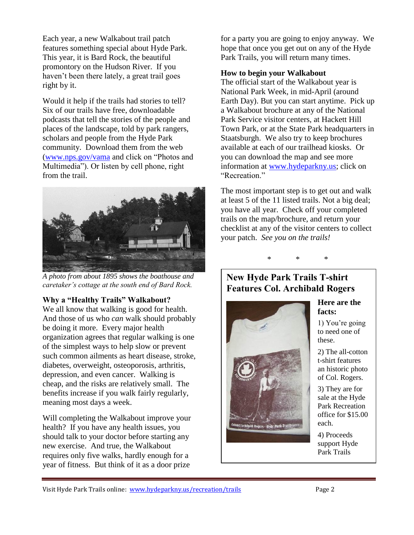Each year, a new Walkabout trail patch features something special about Hyde Park. This year, it is Bard Rock, the beautiful promontory on the Hudson River. If you haven't been there lately, a great trail goes right by it.

Would it help if the trails had stories to tell? Six of our trails have free, downloadable podcasts that tell the stories of the people and places of the landscape, told by park rangers, scholars and people from the Hyde Park community. Download them from the web [\(www.nps.gov/vama](http://www.nps.gov/vama) and click on "Photos and Multimedia"). Or listen by cell phone, right from the trail.



*A photo from about 1895 shows the boathouse and caretaker's cottage at the south end of Bard Rock.*

#### **Why a "Healthy Trails" Walkabout?**

We all know that walking is good for health. And those of us who *can* walk should probably be doing it more. Every major health organization agrees that regular walking is one of the simplest ways to help slow or prevent such common ailments as heart disease, stroke, diabetes, overweight, osteoporosis, arthritis, depression, and even cancer. Walking is cheap, and the risks are relatively small. The benefits increase if you walk fairly regularly, meaning most days a week.

Will completing the Walkabout improve your health? If you have any health issues, you should talk to your doctor before starting any new exercise. And true, the Walkabout requires only five walks, hardly enough for a year of fitness. But think of it as a door prize

for a party you are going to enjoy anyway. We hope that once you get out on any of the Hyde Park Trails, you will return many times.

#### **How to begin your Walkabout**

The official start of the Walkabout year is National Park Week, in mid-April (around Earth Day). But you can start anytime. Pick up a Walkabout brochure at any of the National Park Service visitor centers, at Hackett Hill Town Park, or at the State Park headquarters in Staatsburgh. We also try to keep brochures available at each of our trailhead kiosks. Or you can download the map and see more information at [www.hydeparkny.us;](http://www.hydeparkny.us/) click on "Recreation."

The most important step is to get out and walk at least 5 of the 11 listed trails. Not a big deal; you have all year. Check off your completed trails on the map/brochure, and return your checklist at any of the visitor centers to collect your patch. *See you on the trails!*



## **New Hyde Park Trails T-shirt Features Col. Archibald Rogers**



#### **Here are the facts:**

1) You're going to need one of these.

2) The all-cotton t-shirt features an historic photo of Col. Rogers.

3) They are for sale at the Hyde Park Recreation office for \$15.00 each.

4) Proceeds support Hyde Park Trails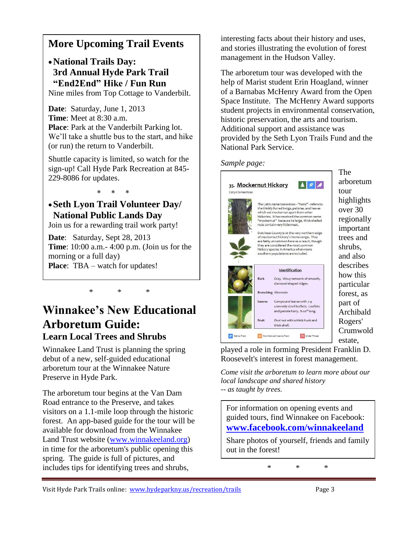## **More Upcoming Trail Events**

**National Trails Day: 3rd Annual Hyde Park Trail "End2End" Hike / Fun Run** Nine miles from Top Cottage to Vanderbilt.

**Date**: Saturday, June 1, 2013 **Time**: Meet at 8:30 a.m. **Place**: Park at the Vanderbilt Parking lot. We'll take a shuttle bus to the start, and hike (or run) the return to Vanderbilt.

Shuttle capacity is limited, so watch for the sign-up! Call Hyde Park Recreation at 845- 229-8086 for updates.

 $* * * *$ 

## **Seth Lyon Trail Volunteer Day/ National Public Lands Day**

Join us for a rewarding trail work party!

**Date**: Saturday, Sept 28, 2013 **Time**: 10:00 a.m.- 4:00 p.m. (Join us for the morning or a full day) **Place:** TBA – watch for updates!

## **Winnakee's New Educational Arboretum Guide: Learn Local Trees and Shrubs**

\* \* \*

Winnakee Land Trust is planning the spring debut of a new, self-guided educational arboretum tour at the Winnakee Nature Preserve in Hyde Park.

The arboretum tour begins at the Van Dam Road entrance to the Preserve, and takes visitors on a 1.1-mile loop through the historic forest. An app-based guide for the tour will be available for download from the Winnakee Land Trust website [\(www.winnakeeland.org\)](http://www.winnakeeland.org/) in time for the arboretum's public opening this spring. The guide is full of pictures, and includes tips for identifying trees and shrubs,

interesting facts about their history and uses, and stories illustrating the evolution of forest management in the Hudson Valley.

The arboretum tour was developed with the help of Marist student Erin Hoagland, winner of a Barnabas McHenry Award from the Open Space Institute. The McHenry Award supports student projects in environmental conservation, historic preservation, the arts and tourism. Additional support and assistance was provided by the Seth Lyon Trails Fund and the National Park Service.

#### *Sample page:*



The arboretum highlights over 30 regionally important trees and shrubs, and also describes how this particular forest, as part of Archibald Rogers' Crumwold estate,

played a role in forming President Franklin D. Roosevelt's interest in forest management.

*Come visit the arboretum to learn more about our local landscape and shared history -- as taught by trees.* 

For information on opening events and guided tours, find Winnakee on Facebook: **[www.facebook.com/winnakeeland](http://www.facebook.com/winnakeeland)**

Share photos of yourself, friends and family out in the forest!

\* \* \*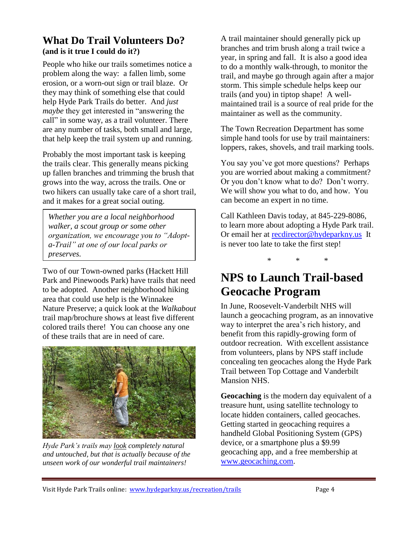## **What Do Trail Volunteers Do? (and is it true I could do it?)**

People who hike our trails sometimes notice a problem along the way: a fallen limb, some erosion, or a worn-out sign or trail blaze. Or they may think of something else that could help Hyde Park Trails do better. And *just maybe* they get interested in "answering the call" in some way, as a trail volunteer. There are any number of tasks, both small and large, that help keep the trail system up and running.

Probably the most important task is keeping the trails clear. This generally means picking up fallen branches and trimming the brush that grows into the way, across the trails. One or two hikers can usually take care of a short trail, and it makes for a great social outing.

*Whether you are a local neighborhood walker, a scout group or some other organization, we encourage you to "Adopta-Trail" at one of our local parks or preserves.*

Two of our Town-owned parks (Hackett Hill Park and Pinewoods Park) have trails that need to be adopted. Another neighborhood hiking area that could use help is the Winnakee Nature Preserve; a quick look at the *Walkabout* trail map/brochure shows at least five different colored trails there! You can choose any one of these trails that are in need of care.



*Hyde Park's trails may look completely natural and untouched, but that is actually because of the unseen work of our wonderful trail maintainers!*

A trail maintainer should generally pick up branches and trim brush along a trail twice a year, in spring and fall. It is also a good idea to do a monthly walk-through, to monitor the trail, and maybe go through again after a major storm. This simple schedule helps keep our trails (and you) in tiptop shape! A wellmaintained trail is a source of real pride for the maintainer as well as the community.

The Town Recreation Department has some simple hand tools for use by trail maintainers: loppers, rakes, shovels, and trail marking tools.

You say you've got more questions? Perhaps you are worried about making a commitment? Or you don't know what to do? Don't worry. We will show you what to do, and how. You can become an expert in no time.

Call Kathleen Davis today, at 845-229-8086, to learn more about adopting a Hyde Park trail. Or email her at [recdirector@hydeparkny.us](mailto:recdirector@hydeparkny.us) It is never too late to take the first step!

\* \* \*

# **NPS to Launch Trail-based Geocache Program**

In June, Roosevelt-Vanderbilt NHS will launch a geocaching program, as an innovative way to interpret the area's rich history, and benefit from this rapidly-growing form of outdoor recreation. With excellent assistance from volunteers, plans by NPS staff include concealing ten geocaches along the Hyde Park Trail between Top Cottage and Vanderbilt Mansion NHS.

**Geocaching** is the modern day equivalent of a treasure hunt, using satellite technology to locate hidden containers, called geocaches. Getting started in geocaching requires a handheld Global Positioning System (GPS) device, or a smartphone plus a \$9.99 geocaching app, and a free membership at [www.geocaching.com.](http://www.geocaching.com/)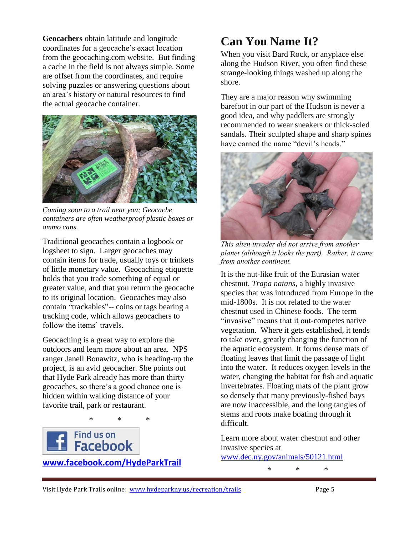**Geocachers** obtain latitude and longitude coordinates for a geocache's exact location from the geocaching.com website. But finding a cache in the field is not always simple. Some are offset from the coordinates, and require solving puzzles or answering questions about an area's history or natural resources to find the actual geocache container.



*Coming soon to a trail near you; Geocache containers are often weatherproof plastic boxes or ammo cans.* 

Traditional geocaches contain a logbook or logsheet to sign. Larger geocaches may contain items for trade, usually toys or trinkets of little monetary value. Geocaching etiquette holds that you trade something of equal or greater value, and that you return the geocache to its original location. Geocaches may also contain "trackables"-- coins or tags bearing a tracking code, which allows geocachers to follow the items' travels.

Geocaching is a great way to explore the outdoors and learn more about an area. NPS ranger Janell Bonawitz, who is heading-up the project, is an avid geocacher. She points out that Hyde Park already has more than thirty geocaches, so there's a good chance one is hidden within walking distance of your favorite trail, park or restaurant.

\* \* \*



**[www.facebook.com/HydeParkTrail](http://www.facebook.com/HydeParkTrail)**

# **Can You Name It?**

When you visit Bard Rock, or anyplace else along the Hudson River, you often find these strange-looking things washed up along the shore.

They are a major reason why swimming barefoot in our part of the Hudson is never a good idea, and why paddlers are strongly recommended to wear sneakers or thick-soled sandals. Their sculpted shape and sharp spines have earned the name "devil's heads."



*This alien invader did not arrive from another planet (although it looks the part). Rather, it came from another continent.* 

It is the nut-like fruit of the Eurasian water chestnut, *Trapa natans*, a highly invasive species that was introduced from Europe in the mid-1800s. It is not related to the water chestnut used in Chinese foods. The term "invasive" means that it out-competes native vegetation. Where it gets established, it tends to take over, greatly changing the function of the aquatic ecosystem. It forms dense mats of floating leaves that limit the passage of light into the water. It reduces oxygen levels in the water, changing the habitat for fish and aquatic invertebrates. Floating mats of the plant grow so densely that many previously-fished bays are now inaccessible, and the long tangles of stems and roots make boating through it difficult.

Learn more about water chestnut and other invasive species at

\* \* \*

[www.dec.ny.gov/animals/50121.html](http://www.dec.ny.gov/animals/50121.html)